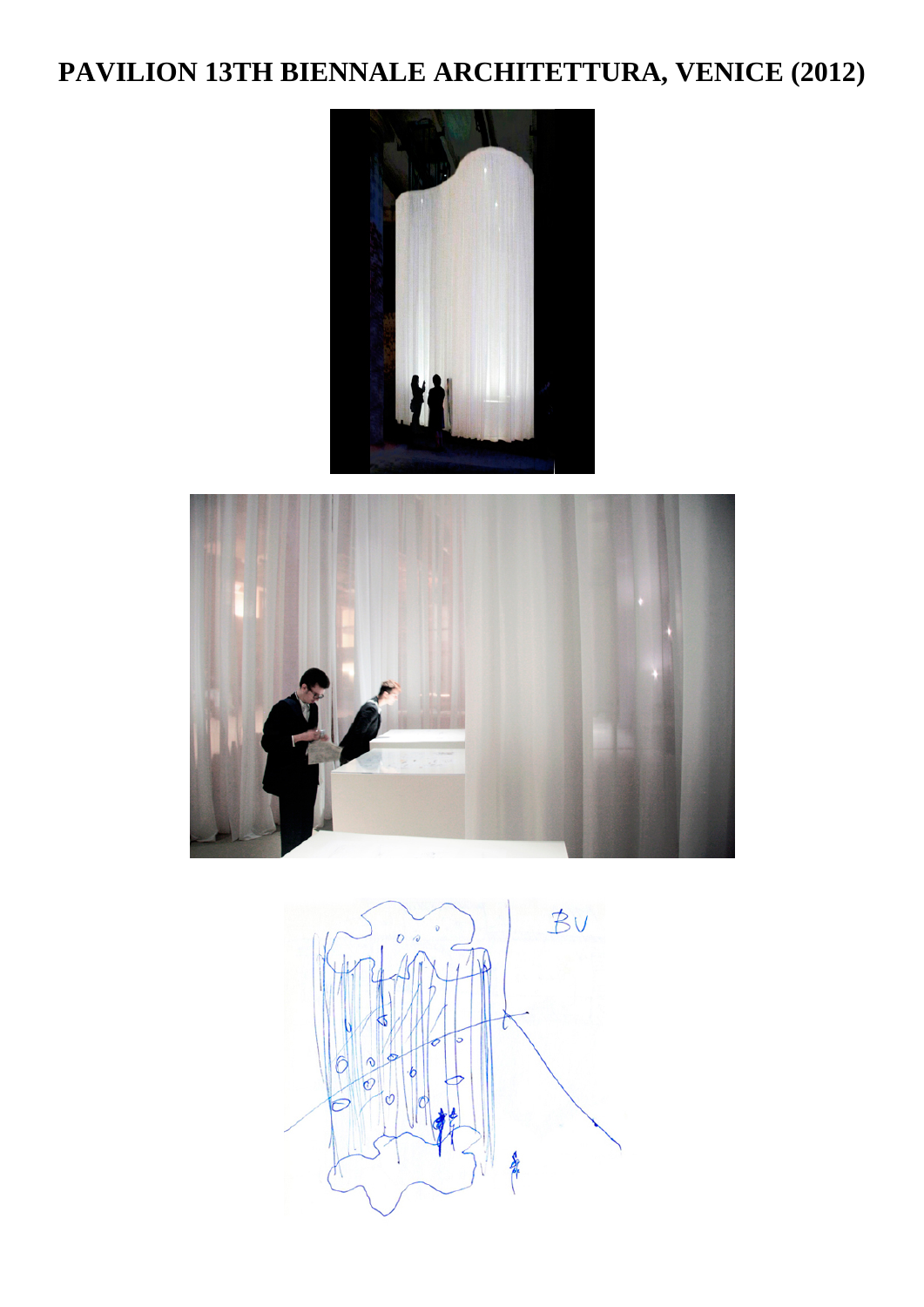## **PAVILION 13TH BIENNALE ARCHITETTURA, VENICE (2012)**





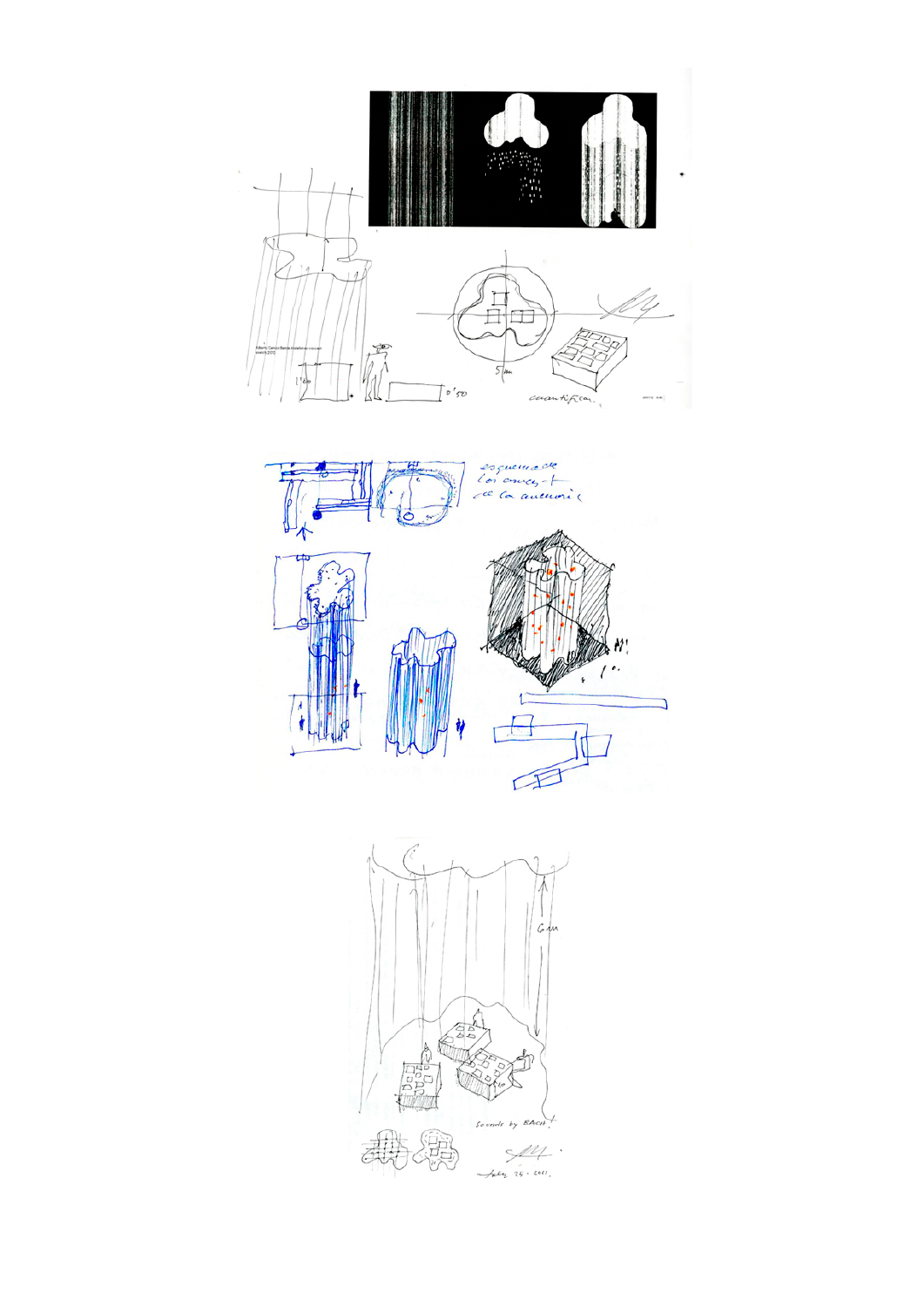



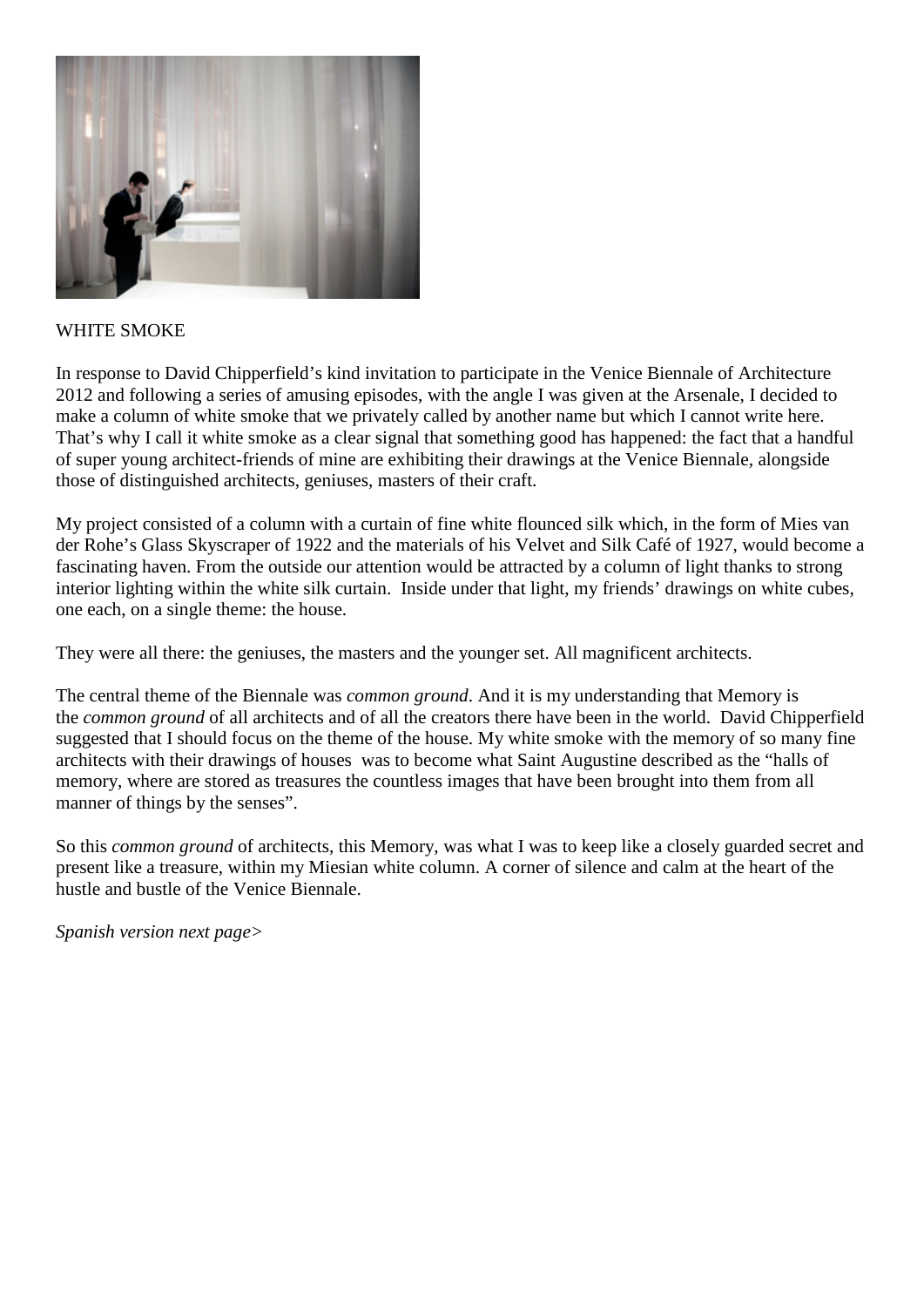

## WHITE SMOKE

In response to David Chipperfield's kind invitation to participate in the Venice Biennale of Architecture 2012 and following a series of amusing episodes, with the angle I was given at the Arsenale, I decided to make a column of white smoke that we privately called by another name but which I cannot write here. That's why I call it white smoke as a clear signal that something good has happened: the fact that a handful of super young architect-friends of mine are exhibiting their drawings at the Venice Biennale, alongside those of distinguished architects, geniuses, masters of their craft.

My project consisted of a column with a curtain of fine white flounced silk which, in the form of Mies van der Rohe's Glass Skyscraper of 1922 and the materials of his Velvet and Silk Café of 1927, would become a fascinating haven. From the outside our attention would be attracted by a column of light thanks to strong interior lighting within the white silk curtain. Inside under that light, my friends' drawings on white cubes, one each, on a single theme: the house.

They were all there: the geniuses, the masters and the younger set. All magnificent architects.

The central theme of the Biennale was *common ground*. And it is my understanding that Memory is the *common ground* of all architects and of all the creators there have been in the world. David Chipperfield suggested that I should focus on the theme of the house. My white smoke with the memory of so many fine architects with their drawings of houses was to become what Saint Augustine described as the "halls of memory, where are stored as treasures the countless images that have been brought into them from all manner of things by the senses".

So this *common ground* of architects, this Memory, was what I was to keep like a closely guarded secret and present like a treasure, within my Miesian white column. A corner of silence and calm at the heart of the hustle and bustle of the Venice Biennale.

*Spanish version next page>*